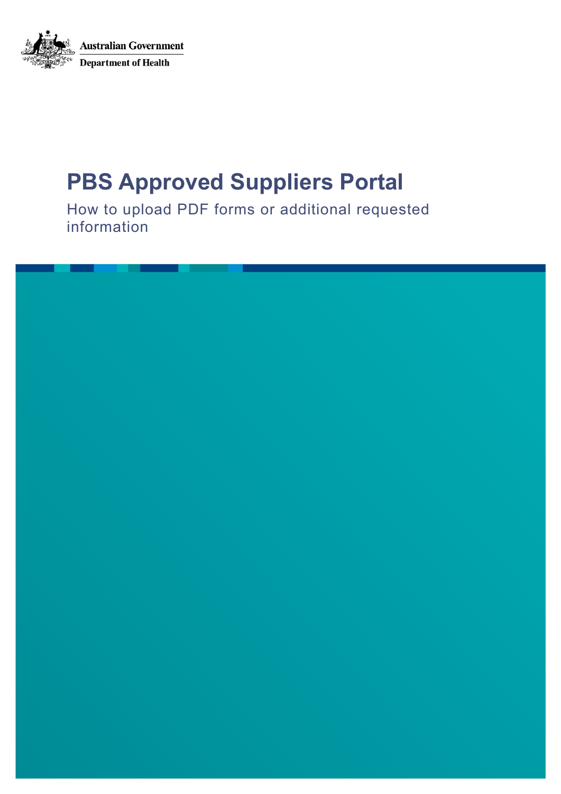

# **PBS Approved Suppliers Portal**

How to upload PDF forms or additional requested information

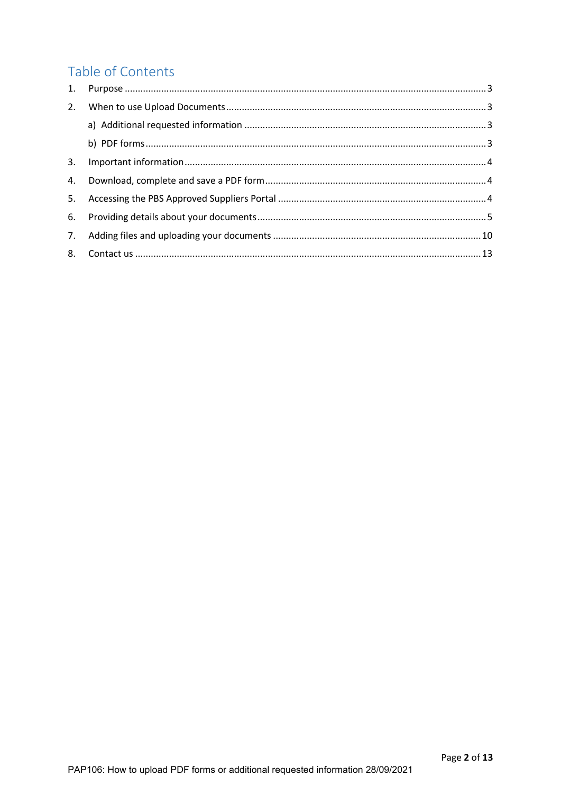# Table of Contents

| 2. |  |
|----|--|
|    |  |
|    |  |
| 3. |  |
| 4. |  |
| 5. |  |
|    |  |
|    |  |
|    |  |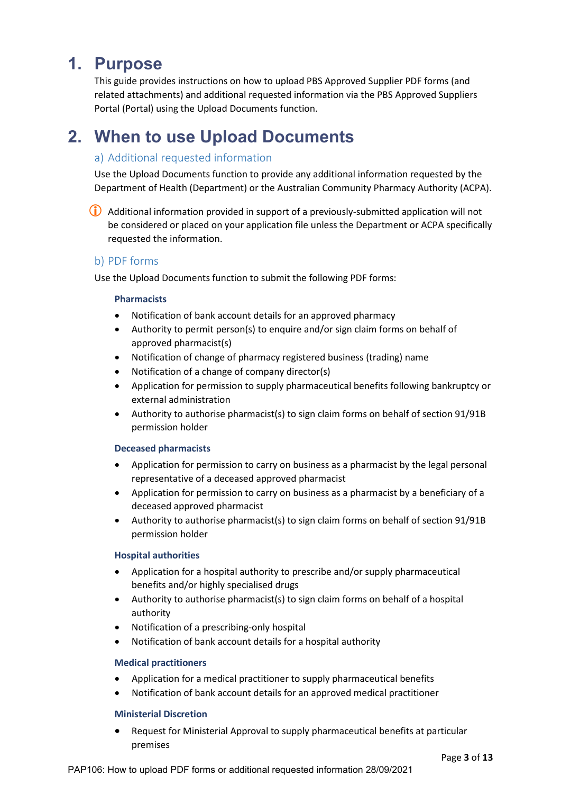# <span id="page-2-0"></span>**1. Purpose**

This guide provides instructions on how to upload PBS Approved Supplier PDF forms (and related attachments) and additional requested information via the PBS Approved Suppliers Portal (Portal) using the Upload Documents function.

# <span id="page-2-2"></span><span id="page-2-1"></span>**2. When to use Upload Documents**

#### a) Additional requested information

Use the Upload Documents function to provide any additional information requested by the Department of Health (Department) or the Australian Community Pharmacy Authority (ACPA).

 Additional information provided in support of a previously-submitted application will not be considered or placed on your application file unless the Department or ACPA specifically requested the information.

#### <span id="page-2-3"></span>b) PDF forms

Use the Upload Documents function to submit the following PDF forms:

#### **Pharmacists**

- Notification of bank account details for an approved pharmacy
- Authority to permit person(s) to enquire and/or sign claim forms on behalf of approved pharmacist(s)
- Notification of change of pharmacy registered business (trading) name
- Notification of a change of company director(s)
- Application for permission to supply pharmaceutical benefits following bankruptcy or external administration
- Authority to authorise pharmacist(s) to sign claim forms on behalf of section 91/91B permission holder

#### **Deceased pharmacists**

- Application for permission to carry on business as a pharmacist by the legal personal representative of a deceased approved pharmacist
- Application for permission to carry on business as a pharmacist by a beneficiary of a deceased approved pharmacist
- Authority to authorise pharmacist(s) to sign claim forms on behalf of section 91/91B permission holder

#### **Hospital authorities**

- Application for a hospital authority to prescribe and/or supply pharmaceutical benefits and/or highly specialised drugs
- Authority to authorise pharmacist(s) to sign claim forms on behalf of a hospital authority
- Notification of a prescribing-only hospital
- Notification of bank account details for a hospital authority

#### **Medical practitioners**

- Application for a medical practitioner to supply pharmaceutical benefits
- Notification of bank account details for an approved medical practitioner

#### **Ministerial Discretion**

• Request for Ministerial Approval to supply pharmaceutical benefits at particular premises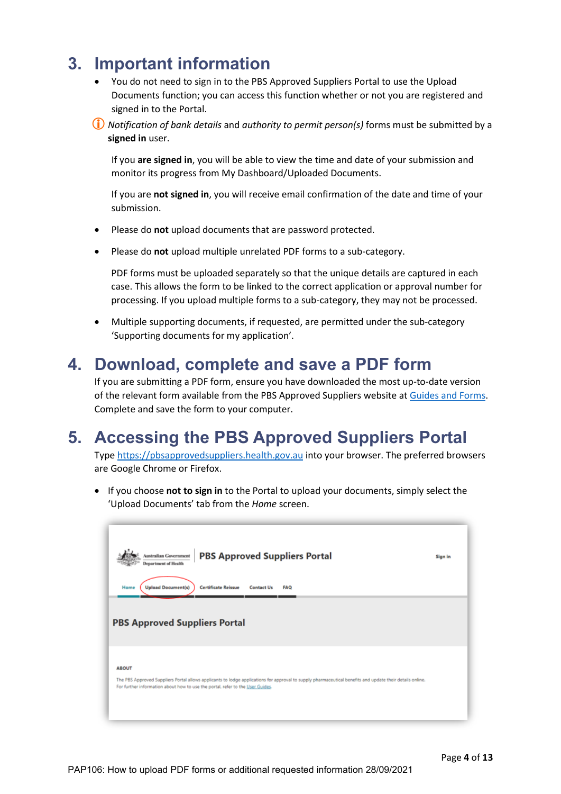### <span id="page-3-0"></span>**3. Important information**

- You do not need to sign in to the PBS Approved Suppliers Portal to use the Upload Documents function; you can access this function whether or not you are registered and signed in to the Portal.
- *Notification of bank details* and *authority to permit person(s)* forms must be submitted by a **signed in** user.

If you **are signed in**, you will be able to view the time and date of your submission and monitor its progress from My Dashboard/Uploaded Documents.

If you are **not signed in**, you will receive email confirmation of the date and time of your submission.

- Please do **not** upload documents that are password protected.
- Please do **not** upload multiple unrelated PDF forms to a sub-category.

PDF forms must be uploaded separately so that the unique details are captured in each case. This allows the form to be linked to the correct application or approval number for processing. If you upload multiple forms to a sub-category, they may not be processed.

• Multiple supporting documents, if requested, are permitted under the sub-category 'Supporting documents for my application'.

### <span id="page-3-1"></span>**4. Download, complete and save a PDF form**

If you are submitting a PDF form, ensure you have downloaded the most up-to-date version of the relevant form available from the PBS Approved Suppliers website at [Guides and Forms.](https://www1.health.gov.au/internet/main/publishing.nsf/Content/pharmaceutical-benefits-scheme-approved-supplier-guides-and-forms) Complete and save the form to your computer.

### <span id="page-3-2"></span>**5. Accessing the PBS Approved Suppliers Portal**

Typ[e https://pbsapprovedsuppliers.health.gov.au](https://pbsapprovedsuppliers.health.gov.au/) into your browser. The preferred browsers are Google Chrome or Firefox.

• If you choose **not to sign in** to the Portal to upload your documents, simply select the 'Upload Documents' tab from the *Home* screen.

| <b>PBS Approved Suppliers Portal</b><br><b>Australian Government</b><br><b>Department of Health</b><br><b>Certificate Reissue</b><br>Home<br><b>Upload Document(s)</b><br><b>Contact Us</b><br><b>FAQ</b>                                                   | Sign in |
|-------------------------------------------------------------------------------------------------------------------------------------------------------------------------------------------------------------------------------------------------------------|---------|
| <b>PBS Approved Suppliers Portal</b>                                                                                                                                                                                                                        |         |
| <b>ABOUT</b><br>The PBS Approved Suppliers Portal allows applicants to lodge applications for approval to supply pharmaceutical benefits and update their details online.<br>For further information about how to use the portal, refer to the User Guides. |         |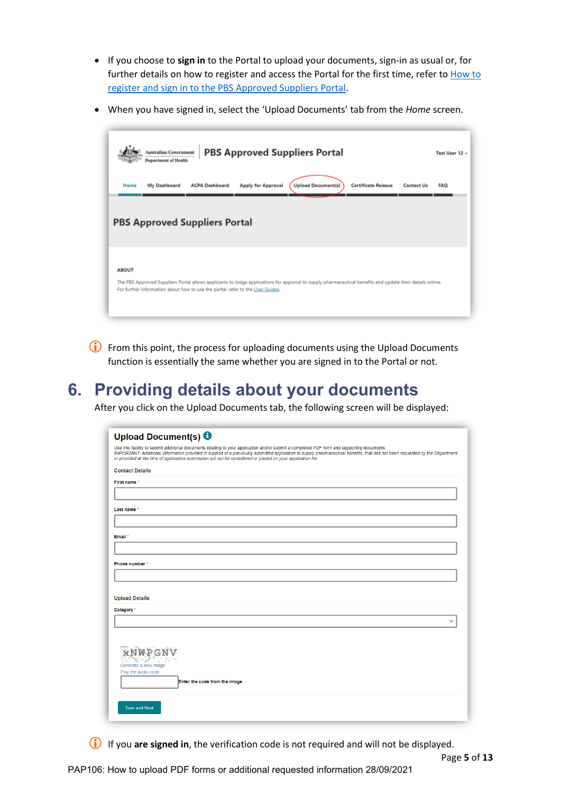- If you choose to **sign in** to the Portal to upload your documents, sign-in as usual or, for further details on how to register and access the Portal for the first time, refer to [How to](https://www1.health.gov.au/internet/main/publishing.nsf/Content/pharmaceutical-benefits-scheme-approved-supplier-guides-and-forms)  [register and sign in to the PBS Approved Suppliers Portal.](https://www1.health.gov.au/internet/main/publishing.nsf/Content/pharmaceutical-benefits-scheme-approved-supplier-guides-and-forms)
- When you have signed in, select the 'Upload Documents' tab from the *Home* screen.

|              | <b>Australian Government</b><br><b>Department</b> of Health |                                                                                |                           | <b>PBS Approved Suppliers Portal</b>                                                                                                                      |                            |                   | Test User 12 - |
|--------------|-------------------------------------------------------------|--------------------------------------------------------------------------------|---------------------------|-----------------------------------------------------------------------------------------------------------------------------------------------------------|----------------------------|-------------------|----------------|
| Home         | My Dashboard                                                | <b>ACPA Dashboard</b>                                                          | <b>Apply for Approval</b> | <b>Upload Document(s)</b>                                                                                                                                 | <b>Certificate Reissue</b> | <b>Contact Us</b> | FAQ            |
|              |                                                             | <b>PBS Approved Suppliers Portal</b>                                           |                           |                                                                                                                                                           |                            |                   |                |
| <b>ABOUT</b> |                                                             | For further information about how to use the portal, refer to the User Guides. |                           | The PBS Approved Suppliers Portal allows applicants to lodge applications for approval to supply pharmaceutical benefits and update their details online. |                            |                   |                |

 From this point, the process for uploading documents using the Upload Documents function is essentially the same whether you are signed in to the Portal or not.

### <span id="page-4-0"></span>**6. Providing details about your documents**

After you click on the Upload Documents tab, the following screen will be displayed:

| Upload Document(s) <sup>6</sup>                                                                                                                                                                                                                                                                                                                                                                                                            |
|--------------------------------------------------------------------------------------------------------------------------------------------------------------------------------------------------------------------------------------------------------------------------------------------------------------------------------------------------------------------------------------------------------------------------------------------|
| Use this facility to submit additional documents relating to your application and/or submit a completed PDF form and supporting documents.<br>IMPORTANT: Additional information provided in support of a previously submitted application to supply pharmaceutical benefits, that has not been requested by the Department<br>or provided at the time of application submission will not be considered or placed on your application file. |
| <b>Contact Details</b>                                                                                                                                                                                                                                                                                                                                                                                                                     |
| First name *                                                                                                                                                                                                                                                                                                                                                                                                                               |
|                                                                                                                                                                                                                                                                                                                                                                                                                                            |
| Last name*                                                                                                                                                                                                                                                                                                                                                                                                                                 |
|                                                                                                                                                                                                                                                                                                                                                                                                                                            |
| Email*                                                                                                                                                                                                                                                                                                                                                                                                                                     |
|                                                                                                                                                                                                                                                                                                                                                                                                                                            |
| Phone number*                                                                                                                                                                                                                                                                                                                                                                                                                              |
|                                                                                                                                                                                                                                                                                                                                                                                                                                            |
|                                                                                                                                                                                                                                                                                                                                                                                                                                            |
| <b>Upload Details</b>                                                                                                                                                                                                                                                                                                                                                                                                                      |
| Category *                                                                                                                                                                                                                                                                                                                                                                                                                                 |
|                                                                                                                                                                                                                                                                                                                                                                                                                                            |
|                                                                                                                                                                                                                                                                                                                                                                                                                                            |
| Generate a new image<br>Play the audio code                                                                                                                                                                                                                                                                                                                                                                                                |
| Enter the code from the image                                                                                                                                                                                                                                                                                                                                                                                                              |
| <b>Save and Next</b>                                                                                                                                                                                                                                                                                                                                                                                                                       |

If you **are signed in**, the verification code is not required and will not be displayed.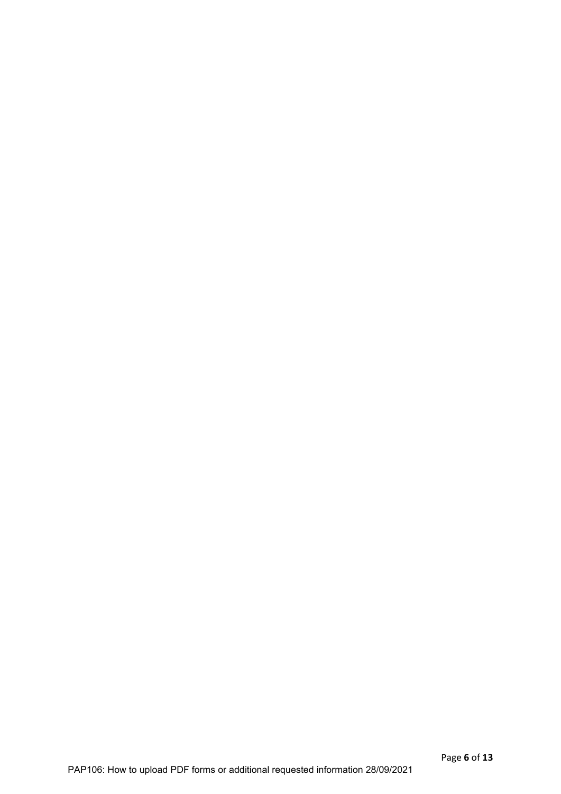Page **6** of **13**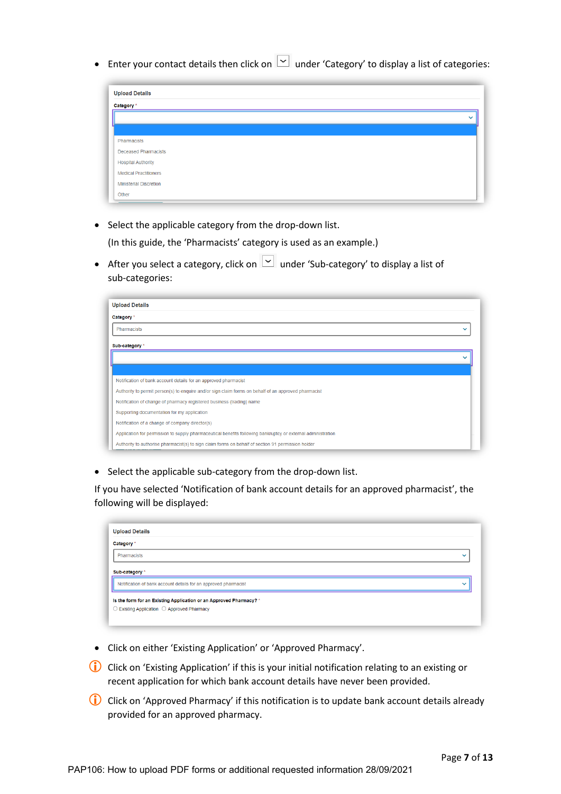Enter your contact details then click on  $\boxed{\smile}$  under 'Category' to display a list of categories:

| <b>Upload Details</b>         |              |
|-------------------------------|--------------|
| Category *                    |              |
|                               | $\checkmark$ |
|                               |              |
| Pharmacists                   |              |
| <b>Deceased Pharmacists</b>   |              |
| <b>Hospital Authority</b>     |              |
| <b>Medical Practitioners</b>  |              |
| <b>Ministerial Discretion</b> |              |
| Other                         |              |

• Select the applicable category from the drop-down list.

(In this guide, the 'Pharmacists' category is used as an example.)

• After you select a category, click on  $\boxed{\smile}$  under 'Sub-category' to display a list of sub-categories:

| <b>Upload Details</b>                                                                                        |  |
|--------------------------------------------------------------------------------------------------------------|--|
| Category *                                                                                                   |  |
| Pharmacists                                                                                                  |  |
| Sub-category *                                                                                               |  |
|                                                                                                              |  |
|                                                                                                              |  |
| Notification of bank account details for an approved pharmacist                                              |  |
| Authority to permit person(s) to enquire and/or sign claim forms on behalf of an approved pharmacist         |  |
| Notification of change of pharmacy registered business (trading) name                                        |  |
| Supporting documentation for my application                                                                  |  |
| Notification of a change of company director(s)                                                              |  |
| Application for permission to supply pharmaceutical benefits following bankruptcy or external administration |  |
| Authority to authorise pharmacist(s) to sign claim forms on behalf of section 91 permission holder           |  |

• Select the applicable sub-category from the drop-down list.

If you have selected 'Notification of bank account details for an approved pharmacist', the following will be displayed:

| <b>Upload Details</b>                                                                                            |              |
|------------------------------------------------------------------------------------------------------------------|--------------|
| Category *                                                                                                       |              |
| Pharmacists                                                                                                      | $\checkmark$ |
| Sub-category *                                                                                                   |              |
| Notification of bank account details for an approved pharmacist                                                  | $\checkmark$ |
| Is the form for an Existing Application or an Approved Pharmacy? *<br>○ Existing Application ○ Approved Pharmacy |              |
|                                                                                                                  |              |

- Click on either 'Existing Application' or 'Approved Pharmacy'.
- C Click on 'Existing Application' if this is your initial notification relating to an existing or recent application for which bank account details have never been provided.
- Click on 'Approved Pharmacy' if this notification is to update bank account details already provided for an approved pharmacy.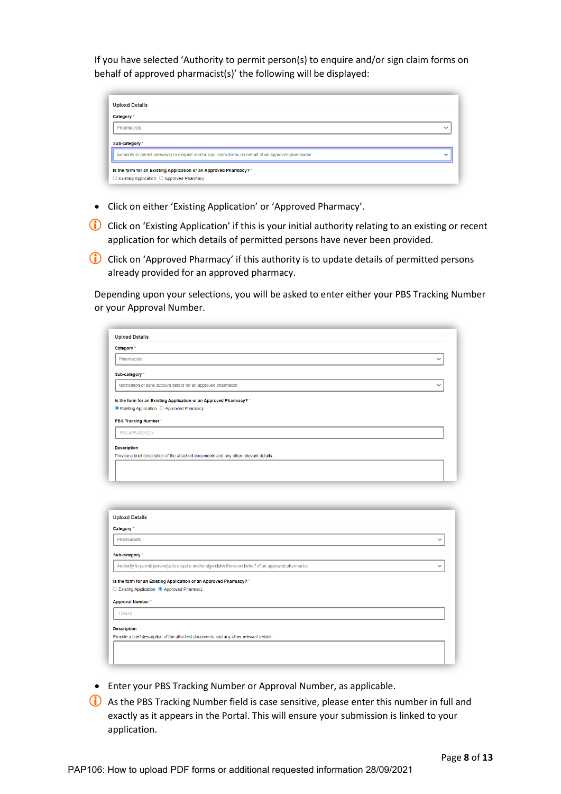If you have selected 'Authority to permit person(s) to enquire and/or sign claim forms on behalf of approved pharmacist(s)' the following will be displayed:

| <b>Upload Details</b> |              |
|-----------------------|--------------|
| Category *            |              |
| Pharmacists           | $\checkmark$ |
|                       |              |
| Sub-category *        |              |

- Click on either 'Existing Application' or 'Approved Pharmacy'.
- C Click on 'Existing Application' if this is your initial authority relating to an existing or recent application for which details of permitted persons have never been provided.
- Click on 'Approved Pharmacy' if this authority is to update details of permitted persons already provided for an approved pharmacy.

Depending upon your selections, you will be asked to enter either your PBS Tracking Number or your Approval Number.

| <b>Pharmacists</b><br>Notification of bank account details for an approved pharmacist<br>◡<br>Is the form for an Existing Application or an Approved Pharmacy? *<br>● Existing Application ○ Approved Pharmacy<br>PBS-APP-0001234 | <b>Upload Details</b>                                                                 |  |
|-----------------------------------------------------------------------------------------------------------------------------------------------------------------------------------------------------------------------------------|---------------------------------------------------------------------------------------|--|
|                                                                                                                                                                                                                                   | Category *                                                                            |  |
|                                                                                                                                                                                                                                   |                                                                                       |  |
|                                                                                                                                                                                                                                   | Sub-category *                                                                        |  |
|                                                                                                                                                                                                                                   |                                                                                       |  |
|                                                                                                                                                                                                                                   | <b>PBS Tracking Number</b> *                                                          |  |
|                                                                                                                                                                                                                                   |                                                                                       |  |
|                                                                                                                                                                                                                                   |                                                                                       |  |
|                                                                                                                                                                                                                                   | <b>Description</b>                                                                    |  |
|                                                                                                                                                                                                                                   | Provide a brief description of the attached documents and any other relevant details. |  |
|                                                                                                                                                                                                                                   |                                                                                       |  |
|                                                                                                                                                                                                                                   |                                                                                       |  |

| <b>Upload Details</b>                                                                                                                       |  |
|---------------------------------------------------------------------------------------------------------------------------------------------|--|
| Category *                                                                                                                                  |  |
| <b>Pharmacists</b>                                                                                                                          |  |
| Sub-category *                                                                                                                              |  |
| Authority to permit person(s) to enquire and/or sign claim forms on behalf of an approved pharmacist                                        |  |
| Is the form for an Existing Application or an Approved Pharmacy? *<br>◯ Existing Application ● Approved Pharmacy<br><b>Approval Number*</b> |  |
| 12345X                                                                                                                                      |  |
| <b>Description</b><br>Provide a brief description of the attached documents and any other relevant details.                                 |  |

- Enter your PBS Tracking Number or Approval Number, as applicable.
- As the PBS Tracking Number field is case sensitive, please enter this number in full and exactly as it appears in the Portal. This will ensure your submission is linked to your application.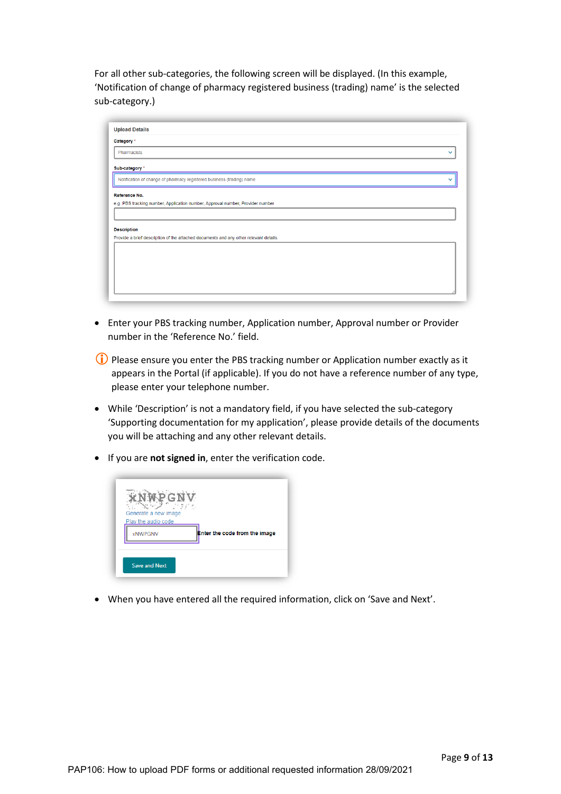For all other sub-categories, the following screen will be displayed. (In this example, 'Notification of change of pharmacy registered business (trading) name' is the selected sub-category.)

| <b>Upload Details</b>                                                                                                 |  |
|-----------------------------------------------------------------------------------------------------------------------|--|
| Category *                                                                                                            |  |
| Pharmacists                                                                                                           |  |
| Sub-category *                                                                                                        |  |
| Notification of change of pharmacy registered business (trading) name                                                 |  |
| Reference No.<br>e.g. PBS tracking number, Application number, Approval number, Provider number<br><b>Description</b> |  |
| Provide a brief description of the attached documents and any other relevant details.                                 |  |
|                                                                                                                       |  |

- Enter your PBS tracking number, Application number, Approval number or Provider number in the 'Reference No.' field.
- Please ensure you enter the PBS tracking number or Application number exactly as it appears in the Portal (if applicable). If you do not have a reference number of any type, please enter your telephone number.
- While 'Description' is not a mandatory field, if you have selected the sub-category 'Supporting documentation for my application', please provide details of the documents you will be attaching and any other relevant details.
- If you are **not signed in**, enter the verification code.



• When you have entered all the required information, click on 'Save and Next'.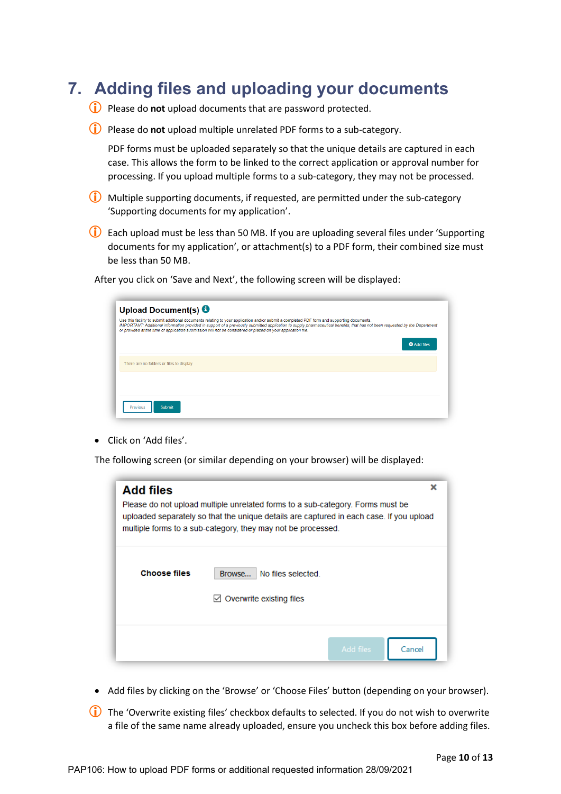# <span id="page-9-0"></span>**7. Adding files and uploading your documents**

- Please do **not** upload documents that are password protected.
- Please do **not** upload multiple unrelated PDF forms to a sub-category.

PDF forms must be uploaded separately so that the unique details are captured in each case. This allows the form to be linked to the correct application or approval number for processing. If you upload multiple forms to a sub-category, they may not be processed.

- Multiple supporting documents, if requested, are permitted under the sub-category 'Supporting documents for my application'.
- Each upload must be less than 50 MB. If you are uploading several files under 'Supporting documents for my application', or attachment(s) to a PDF form, their combined size must be less than 50 MB.

| Upload Document(s) 0                                                                                                                                                                                                                                                                                                                                                                                                                       |
|--------------------------------------------------------------------------------------------------------------------------------------------------------------------------------------------------------------------------------------------------------------------------------------------------------------------------------------------------------------------------------------------------------------------------------------------|
| Use this facility to submit additional documents relating to your application and/or submit a completed PDF form and supporting documents.<br>IMPORTANT: Additional information provided in support of a previously submitted application to supply pharmaceutical benefits, that has not been requested by the Department<br>or provided at the time of application submission will not be considered or placed on your application file. |
| <b>O</b> Add files                                                                                                                                                                                                                                                                                                                                                                                                                         |
| There are no folders or files to display.                                                                                                                                                                                                                                                                                                                                                                                                  |
|                                                                                                                                                                                                                                                                                                                                                                                                                                            |
|                                                                                                                                                                                                                                                                                                                                                                                                                                            |
| Submit<br>Previous                                                                                                                                                                                                                                                                                                                                                                                                                         |

After you click on 'Save and Next', the following screen will be displayed:

• Click on 'Add files'.

The following screen (or similar depending on your browser) will be displayed:

| ×<br><b>Add files</b><br>Please do not upload multiple unrelated forms to a sub-category. Forms must be<br>uploaded separately so that the unique details are captured in each case. If you upload<br>multiple forms to a sub-category, they may not be processed. |                                                               |  |  |  |
|--------------------------------------------------------------------------------------------------------------------------------------------------------------------------------------------------------------------------------------------------------------------|---------------------------------------------------------------|--|--|--|
| <b>Choose files</b>                                                                                                                                                                                                                                                | No files selected.<br>Browse<br>Overwrite existing files<br>∨ |  |  |  |
|                                                                                                                                                                                                                                                                    | Add files<br>Cancel                                           |  |  |  |

- Add files by clicking on the 'Browse' or 'Choose Files' button (depending on your browser).
- The 'Overwrite existing files' checkbox defaults to selected. If you do not wish to overwrite a file of the same name already uploaded, ensure you uncheck this box before adding files.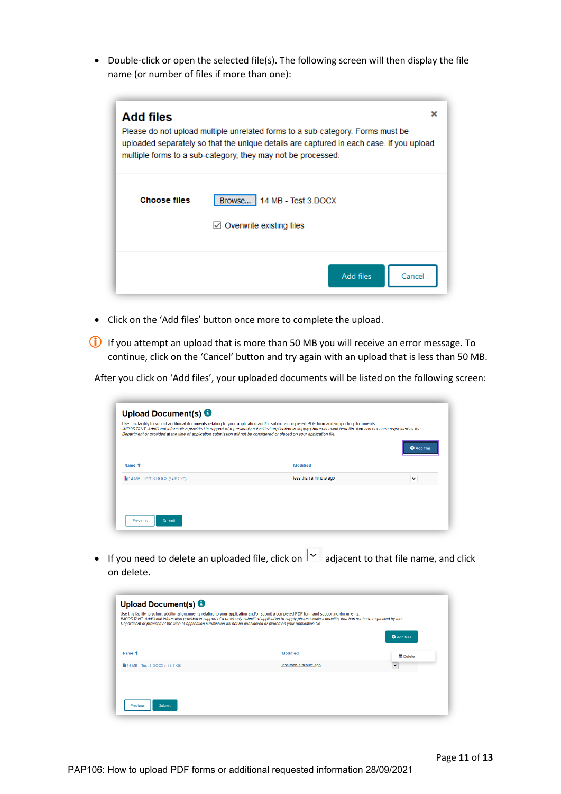• Double-click or open the selected file(s). The following screen will then display the file name (or number of files if more than one):

| ×<br><b>Add files</b><br>Please do not upload multiple unrelated forms to a sub-category. Forms must be<br>uploaded separately so that the unique details are captured in each case. If you upload<br>multiple forms to a sub-category, they may not be processed. |                                                                     |  |  |
|--------------------------------------------------------------------------------------------------------------------------------------------------------------------------------------------------------------------------------------------------------------------|---------------------------------------------------------------------|--|--|
| <b>Choose files</b>                                                                                                                                                                                                                                                | 14 MB - Test 3.DOCX<br>Browse<br>Overwrite existing files<br>$\vee$ |  |  |
|                                                                                                                                                                                                                                                                    | Add files<br>Cancel                                                 |  |  |

- Click on the 'Add files' button once more to complete the upload.
- If you attempt an upload that is more than 50 MB you will receive an error message. To continue, click on the 'Cancel' button and try again with an upload that is less than 50 MB.

After you click on 'Add files', your uploaded documents will be listed on the following screen:

| Use this facility to submit additional documents relating to your application and/or submit a completed PDF form and supporting documents.<br>IMPORTANT: Additional information provided in support of a previously submitted application to supply pharmaceutical benefits, that has not been requested by the<br>Department or provided at the time of application submission will not be considered or placed on your application file.<br><b>Add files</b> |                        |              |  |  |
|----------------------------------------------------------------------------------------------------------------------------------------------------------------------------------------------------------------------------------------------------------------------------------------------------------------------------------------------------------------------------------------------------------------------------------------------------------------|------------------------|--------------|--|--|
| Name <sup>+</sup>                                                                                                                                                                                                                                                                                                                                                                                                                                              | <b>Modified</b>        |              |  |  |
| 14 MB - Test 3.DOCX (14117 KB)                                                                                                                                                                                                                                                                                                                                                                                                                                 | less than a minute ago | $\checkmark$ |  |  |
|                                                                                                                                                                                                                                                                                                                                                                                                                                                                |                        |              |  |  |
|                                                                                                                                                                                                                                                                                                                                                                                                                                                                |                        |              |  |  |
| Submit<br>Previous                                                                                                                                                                                                                                                                                                                                                                                                                                             |                        |              |  |  |

• If you need to delete an uploaded file, click on  $\boxed{\smile}$  adjacent to that file name, and click on delete.

| Upload Document(s) 0<br>Department or provided at the time of application submission will not be considered or placed on your application file. | Use this facility to submit additional documents relating to your application and/or submit a completed PDF form and supporting documents.<br>IMPORTANT: Additional information provided in support of a previously submitted application to supply pharmaceutical benefits, that has not been requested by the |                  |
|-------------------------------------------------------------------------------------------------------------------------------------------------|-----------------------------------------------------------------------------------------------------------------------------------------------------------------------------------------------------------------------------------------------------------------------------------------------------------------|------------------|
|                                                                                                                                                 |                                                                                                                                                                                                                                                                                                                 | Add files        |
| Name <sup>+</sup>                                                                                                                               | <b>Modified</b>                                                                                                                                                                                                                                                                                                 | <b>TT</b> Delete |
| 14 MB - Test 3.DOCX (14117 KB)                                                                                                                  | less than a minute ago                                                                                                                                                                                                                                                                                          | $\checkmark$     |
|                                                                                                                                                 |                                                                                                                                                                                                                                                                                                                 |                  |
|                                                                                                                                                 |                                                                                                                                                                                                                                                                                                                 |                  |
| Submit<br>Previous                                                                                                                              |                                                                                                                                                                                                                                                                                                                 |                  |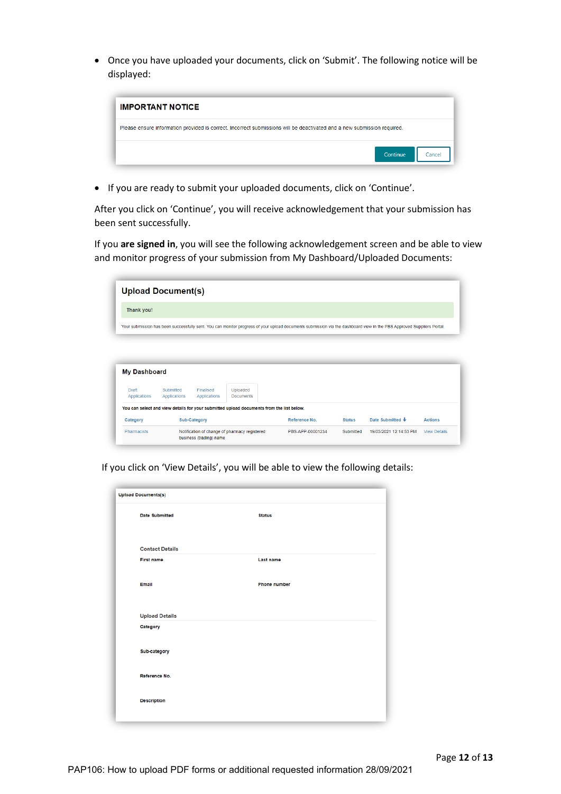• Once you have uploaded your documents, click on 'Submit'. The following notice will be displayed:



• If you are ready to submit your uploaded documents, click on 'Continue'.

After you click on 'Continue', you will receive acknowledgement that your submission has been sent successfully.

If you **are signed in**, you will see the following acknowledgement screen and be able to view and monitor progress of your submission from My Dashboard/Uploaded Documents:

| Thank you!                      | Your submission has been successfully sent. You can monitor progress of your upload documents submission via the dashboard view in the PBS Approved Suppliers Portal. |                  |               |               |                  |                |
|---------------------------------|-----------------------------------------------------------------------------------------------------------------------------------------------------------------------|------------------|---------------|---------------|------------------|----------------|
|                                 |                                                                                                                                                                       |                  |               |               |                  |                |
|                                 |                                                                                                                                                                       |                  |               |               |                  |                |
|                                 |                                                                                                                                                                       |                  |               |               |                  |                |
|                                 |                                                                                                                                                                       |                  |               |               |                  |                |
|                                 |                                                                                                                                                                       |                  |               |               |                  |                |
|                                 |                                                                                                                                                                       |                  |               |               |                  |                |
|                                 |                                                                                                                                                                       |                  |               |               |                  |                |
|                                 |                                                                                                                                                                       |                  |               |               |                  |                |
| Draft                           | Submitted<br>Finalised                                                                                                                                                | Uploaded         |               |               |                  |                |
| Applications                    | Applications<br>Applications                                                                                                                                          | <b>Documents</b> |               |               |                  |                |
|                                 | You can select and view details for your submitted upload documents from the list below.                                                                              |                  |               |               |                  |                |
| <b>My Dashboard</b><br>Category | <b>Sub-Category</b>                                                                                                                                                   |                  | Reference No. | <b>Status</b> | Date Submitted + | <b>Actions</b> |

If you click on 'View Details', you will be able to view the following details:

| <b>Upload Documents(s)</b> |                     |
|----------------------------|---------------------|
|                            |                     |
| <b>Date Submitted</b>      | <b>Status</b>       |
| <b>Contact Details</b>     |                     |
| <b>First name</b>          | Last name           |
| Email                      | <b>Phone number</b> |
| <b>Upload Details</b>      |                     |
| Category                   |                     |
| Sub-category               |                     |
| Reference No.              |                     |
| <b>Description</b>         |                     |
|                            |                     |